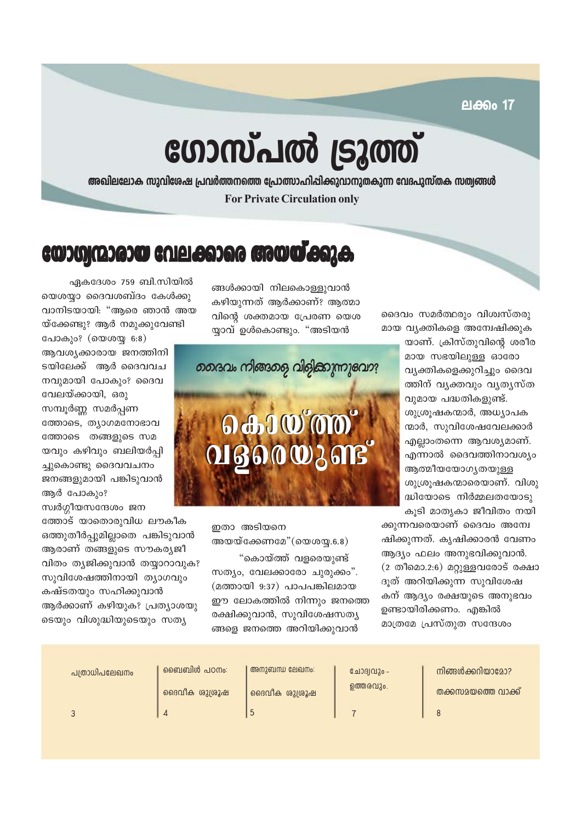ലക്കം **17** 

# ഗോസ്പൽ ട്രൂത്ത്

അഖിലലോക സുവിശേഷ പ്രവർത്തനത്തെ പ്രോത്സാഹിഷിക്കുവാനുതകുന്ന വേദപുസ്തക സത്വങ്ങൾ **For Private Circulation only** 

## യോഗ്യന്മാരായ വേലക്കാരെ അയയ്ക്കുക

ങ്ങൾക്കായി നിലകൊള്ളുവാൻ കഴിയുന്നത് ആർക്കാണ്? ആത്മാ വിന്റെ ശക്തമായ പ്രേരണ യെശ യ്യാവ് ഉൾകൊണ്ടും. "അടിയൻ

ഏകദേശം 759 ബി.സിയിൽ യെശയാ ദൈവശബ്ദം കേൾക്കു വാനിടയായി: "ആരെ ഞാൻ അയ യ്ക്കേണ്ടു? ആർ നമുക്കുവേണ്ടി

പോകും? (യെശയു 6:8) ആവശ്യക്കാരായ ജനത്തിനി ടയിലേക്ക് ആർ ദൈവവച നവുമായി പോകും? ദൈവ വേലയ്ക്കായി, ഒരു സമ്പൂർണ്ണ സമർപ്പണ ത്തോടെ, ത്യാഗമനോഭാവ ത്തോടെ തങ്ങളുടെ സമ യവും കഴിവും ബലിയർപ്പി ച്ചുകൊണ്ടു ദൈവവചനം ജനങ്ങളുമായി പങ്കിടുവാൻ ആർ പോകും? സ്വർഗ്ഗീയസന്ദേശം ജന

ത്തോട് യാതൊരുവിധ ലൗകീക ഒത്തുതീർപ്പുമില്ലാതെ പങ്കിടുവാൻ ആരാണ് തങ്ങളുടെ സൗകര്യജീ വിതം ത്യജിക്കുവാൻ തയ്യാറാവുക? സുവിശേഷത്തിനായി ത്യാഗവും കഷ്ടതയും സഹിക്കുവാൻ ആർക്കാണ് കഴിയുക? പ്രത്യാശയു ടെയും വിശുദ്ധിയുടെയും സത്യ



ഇതാ അടിയനെ

സത്യം, വേലക്കാരോ ചുരുക്കം". (മത്തായി 9:37) പാപപങ്കിലമായ ഈ ലോകത്തിൽ നിന്നും ജനത്തെ രക്ഷിക്കുവാൻ, സുവിശേഷസത്യ ങ്ങളെ ജനത്തെ അറിയിക്കുവാൻ

ദൈവം സമർത്ഥരും വിശ്വസ്തരു മായ വ്യക്തികളെ അന്വേഷിക്കുക

യാണ്. ക്രിസ്തുവിന്റെ ശരീര മായ സഭയിലുള്ള ഓരോ വ്യക്തികളെക്കുറിച്ചും ദൈവ ത്തിന് വ്യക്തവും വ്യത്യസ്ത വുമായ പദ്ധതികളുണ്ട്. ശുശ്രൂഷകന്മാർ, അധ്യാപക ന്മാർ, സുവിശേഷവേലക്കാർ എല്ലാംതന്നെ ആവശ്യമാണ്. എന്നാൽ ദൈവത്തിനാവശ്യം ആത്മീയയോഗ്യതയുള്ള ശുശ്രൂഷകന്മാരെയാണ്. വിശു ദ്ധിയോടെ നിർമ്മലതയോടു കൂടി മാതൃകാ ജീവിതം നയി

ക്കുന്നവരെയാണ് ദൈവം അന്വേ ഷിക്കുന്നത്. കൃഷിക്കാരൻ വേണം ആദ്യം ഫലം അനുഭവിക്കുവാൻ. (2 തീമൊ.2:6) മറ്റുള്ളവരോട് രക്ഷാ ദൂത് അറിയിക്കുന്ന സുവിശേഷ കന് ആദ്യം രക്ഷയുടെ അനുഭവം ഉണ്ടായിരിക്കണം. എങ്കിൽ മാത്രമേ പ്രസ്തുത സന്ദേശം

അയയ്ക്കേണമേ" $(\infty, 6.8)$ "കൊയ്ത്ത് വളരെയുണ്ട്

ബൈബിൾ പഠനം: അനാബന്ധ ലേഖനം:

പത്രാധിപലേഖനം

ദൈവീക ശുശ്രൂഷ

 $\overline{\Lambda}$ 

ദൈവീക ശുശ്രൂഷ  $\overline{5}$ 

ചോദ്യവും -**ഉത്തരവും.** 

നിങ്ങൾക്കറിയാദോ? തക്കസമയത്തെ വാക്ക്

 $\overline{3}$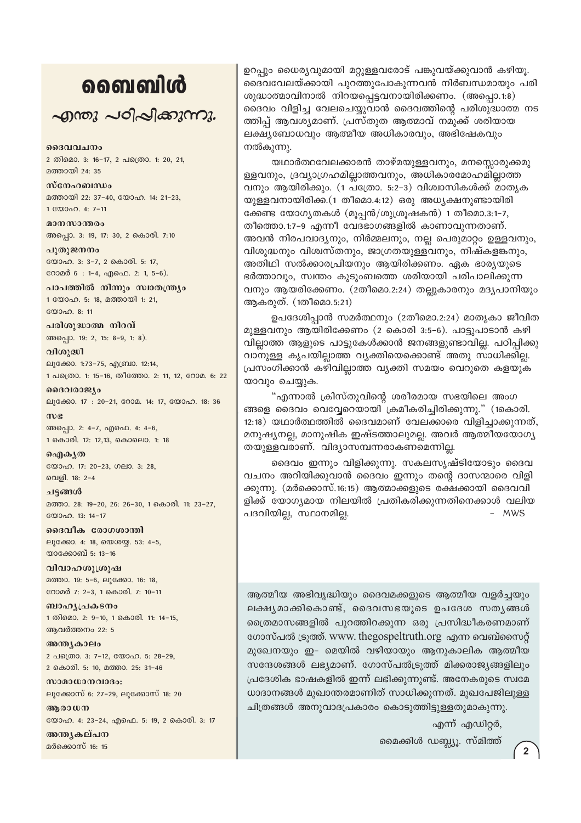## வைவிൾ

 $\sim$ றாறை പഠിപ്പിക്കുന്നു.

ദൈവവചനം 2 തിമൊ. 3: 16-17, 2 പത്രൊ. 1: 20, 21, മത്തായി 24: 35

സ്നേഹബന്ധം മത്തായി 22: 37-40, യോഹ. 14: 21-23, 1 WOOD. 4: 7-11

മാനസാന്തരം അപ്പൊ. 3: 19, 17: 30, 2 കൊരി. 7:10

പുതുജനനം യോഹ. 3: 3-7, 2 കൊരി. 5: 17, റോമർ 6: 1-4, എഫെ. 2: 1, 5-6).

പാപത്തിൽ നിന്നും സ്വാതന്ത്ര്യം 1 യോഹ. 5: 18, മത്തായി 1: 21,  $20000008:11$ 

പരിശുദ്ധാത്മ നിറവ് അപ്പൊ. 19: 2, 15: 8-9, 1: 8).

വിശുദ്ധി ലൂക്കോ. 1:73-75, എബ്രാ. 12:14, 1 പക്രൊ. 1: 15-16, തീത്തോ. 2: 11, 12, റോമ. 6: 22

ദൈവരാജ്യം ലൂക്കോ. 17: 20-21, റോമ. 14: 17, യോഹ. 18: 36

 $m$  $g$ അപ്പൊ. 2: 4-7, എഫെ. 4: 4-6, 1 കൊരി. 12: 12,13, കൊലൊ. 1: 18

வெிக்கு യോഹ. 17: 20-23, ഗലാ. 3: 28, വെളി. 18: 2-4

ചട്ടങ്ങൾ മത്താ. 28: 19-20, 26: 26-30, 1 കൊരി. 11: 23-27, യോഹ. 13: 14-17

ദൈവീക രോഗശാന്തി ലൂക്കോ. 4: 18, യെശയ്യ. 53: 4-5, യാക്കോബ് 5: 13-16

വിവാഹശുശ്രൂഷ മത്താ. 19: 5-6, ലൂക്കോ. 16: 18, റോമർ 7: 2-3, 1 കൊരി. 7: 10-11

ബാഹ്യപ്രകടനം 1 തിമൊ. 2: 9-10, 1 കൊരി. 11: 14-15, ആവർത്തനം 22: 5

അന്ത്യകാലം 2 പത്രൊ. 3: 7-12, യോഹ. 5: 28-29, 2 കൊരി. 5: 10, മത്താ. 25: 31-46

സാമാധാനവാദം: ലൂക്കോസ് 6: 27-29, ലൂക്കോസ് 18: 20

ആരാധന യോഹ. 4: 23-24, എഫെ. 5: 19, 2 കൊരി. 3: 17

അന്ത്യകല്പന മർക്കൊസ് 16: 15

ഉറപ്പും ധൈര്യവുമായി മറ്റുള്ളവരോട് പങ്കുവയ്ക്കുവാൻ കഴിയു. ദൈവവേലയ്ക്കായി പുറത്തുപോകുന്നവൻ നിർബന്ധമായും പരി ശുദ്ധാത്മാവിനാൽ നിറയപ്പെട്ടവനായിരിക്കണം. (അപ്പൊ.1:8) ദൈവം വിളിച്ച വേലചെയ്യവാൻ ദൈവത്തിന്റെ പരിശുദ്ധാത്മ നട ത്തിപ്പ് ആവശ്യമാണ്. പ്രസ്തുത ആത്മാവ് നമുക്ക് ശരിയായ ലക്ഷ്യബോധവും ആത്മീയ അധികാരവും, അഭിഷേകവും നൽകുന്നു.

യഥാർത്ഥവേലക്കാരൻ താഴ്മയുള്ളവനും, മനസ്സൊരുക്കമു ള്ളവനും, ദ്രവ്യാഗ്രഹമില്ലാത്തവനും, അധികാരമോഹമില്ലാത്ത വനും ആയിരിക്കും. (1 പത്രോ. 5:2-3) വിശ്വാസികൾക്ക് മാതൃക യുള്ളവനായിരിക്ക.(1 തീമൊ.4:12) ഒരു അധ്യക്ഷനുണ്ടായിരി ക്കേണ്ട യോഗ്യതകൾ (മൂപ്പൻ/ശുശ്രൂഷകൻ) 1 തീമൊ.3:1-7, തീത്തൊ.1:7-9 എന്നീ വേദഭാഗങ്ങളിൽ കാണാവുന്നതാണ്. അവൻ നിരപവാദ്യനും, നിർമ്മലനും, നല്ല പെരുമാറ്റം ഉള്ളവനും, വിശുദ്ധനും വിശ്വസ്തനും, ജാഗ്രതയുള്ളവനും, നിഷ്കളങ്കനും, അതിഥി സൽക്കാരപ്രിയനും ആയിരിക്കണം. ഏക ഭാര്യയുടെ ഭർത്താവും, സ്വന്തം കുടുംബത്തെ ശരിയായി പരിപാലിക്കുന്ന വനും ആയരിക്കേണം. (2തീമൊ.2:24) തല്ലുകാരനും മദ്യപാനിയും ആകരുത്. (1തീമൊ.5:21)

ഉപദേശിപാൻ സമർത്ഥനും (2തീമൊ.2:24) മാതൃകാ ജീവിത മുള്ളവനും ആയിരിക്കേണം (2 കൊരി 3:5–6). പാട്ടുപാടാൻ കഴി വില്ലാത്ത ആളുടെ പാട്ടുകേൾക്കാൻ ജനങ്ങളുണ്ടാവില്ല. പഠിപ്പിക്കു വാനുള്ള കൃപയില്ലാത്ത വ്യക്തിയെക്കൊണ്ട് അതു സാധിക്കില്ല. പ്രസംഗിക്കാൻ കഴിവില്ലാത്ത വ്യക്തി സമയം വെറുതെ കളയുക യാവും ചെയ്യുക.

"എന്നാൽ ക്രിസ്തുവിന്റെ ശരീരമായ സഭയിലെ അംഗ ങ്ങളെ ദൈവം വെവ്വേറെയായി ക്രമീകരിച്ചിരിക്കുന്നു." (1കൊരി. 12:18) യഥാർത്ഥത്തിൽ ദൈവമാണ് വേലക്കാരെ വിളിച്ചാക്കുന്നത്, മനുഷ്യനല്ല, മാനുഷിക ഇഷ്ടത്താലുമല്ല. അവർ ആത്മീയയോഗ്യ തയുള്ളവരാണ്. വിദ്യാസമ്പന്നരാകണമെന്നില്ല.

ദൈവം ഇന്നും വിളിക്കുന്നു. സകലസൃഷ്ടിയോടും ദൈവ വചനം അറിയിക്കുവാൻ ദൈവം ഇന്നും തന്റെ ദാസന്മാരെ വിളി ക്കുന്നു. (മർക്കൊസ്.16:15) ആത്മാക്കളുടെ രക്ഷക്കായി ദൈവവി ളിക്ക് യോഗ്യമായ നിലയിൽ പ്രതികരിക്കുന്നതിനെക്കാൾ വലിയ പദവിയില്ല, സ്ഥാനമില്ല. - MWS

ആത്മീയ അഭിവൃദ്ധിയും ദൈവമക്കളുടെ ആത്മീയ വളർച്ചയും ലക്ഷ്യമാക്കികൊണ്ട്, ദൈവസഭയുടെ ഉപദേശ സതൃങ്ങൾ ത്രൈമാസങ്ങളിൽ പുറത്തിറക്കുന്ന ഒരു പ്രസിദ്ധീകരണമാണ് ഗോസ്പൽ ട്രുത്ത്. www. thegospeltruth.org എന്ന വെബ്സൈറ്റ് മുഖേനയും ഇ- മെയിൽ വഴിയായും ആനുകാലിക ആത്മീയ സന്ദേശങ്ങൾ ലഭ്യമാണ്. ഗോസ്പൽട്രുത്ത് മിക്കരാജ്യങ്ങളിലും പ്രദേശിക ഭാഷകളിൽ ഇന്ന് ലഭിക്കുന്നുണ്ട്. അനേകരുടെ സ്വമേ ധാദാനങ്ങൾ മുഖാന്തരമാണിത് സാധിക്കുന്നത്. മുഖപേജിലുള്ള ചിത്രങ്ങൾ അനുവാദപ്രകാരം കൊടുത്തിട്ടുള്ളതുമാകുന്നു.

എന്ന് എഡിറ്റർ,

മൈക്കിൾ ഡബ്ല്യൂ. സ്മിത്ത്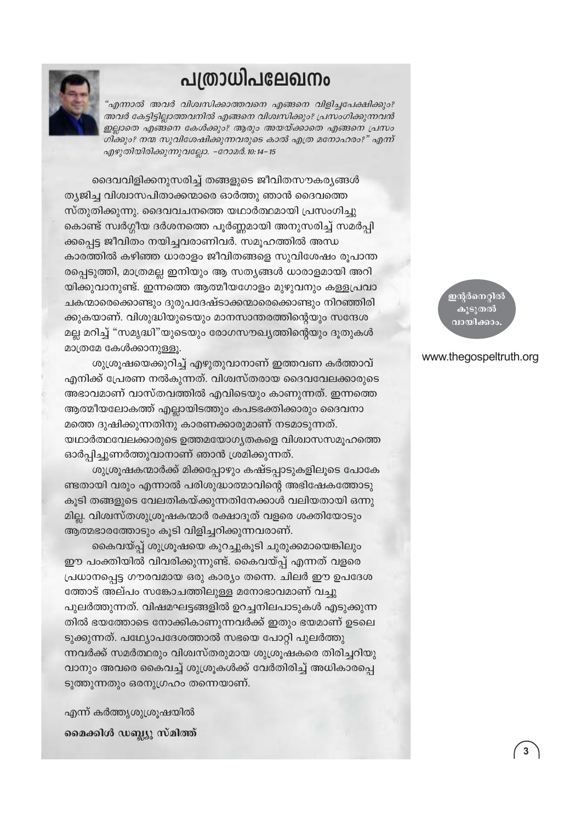## പത്രാധിപലേഖനം

'എന്നാൽ അവർ വിശ്വസിക്കാത്തവനെ എങ്ങനെ വിളിച്ചപേക്ഷിക്കും? അവർ കേട്ടിട്ടില്ലാത്തവനിൽ എങ്ങനെ വിശ്വസിക്കും? പ്രസംഗിക്കുന്നവൻ ഇല്ലാതെ എങ്ങനെ കേൾക്കും? ആരും അയയ്ക്കാതെ എങ്ങനെ പ്രസം ഗിക്കും? നന്മ സുവിശേഷിക്കുന്നവരുടെ കാൽ എത്ര മനോഹരം?" എന്ന് എഴുതിയിരിക്കുന്നുവല്ലോ. -റോമർ. 10:14-15



ദൈവവിളിക്കനുസരിച്ച് തങ്ങളുടെ ജീവിതസൗകര്യങ്ങൾ ത്യജിച്ച വിശ്വാസപിതാക്കന്മാരെ ഓർത്തു ഞാൻ ദൈവത്തെ സ്തുതിക്കുന്നു. ദൈവവചനത്തെ യഥാർത്ഥമായി പ്രസംഗിച്ചു കൊണ്ട് സ്വർഗ്ഗീയ ദർശനത്തെ പൂർണ്ണമായി അനുസരിച്ച് സമർപ്പി ക്കപ്പെട്ട ജീവിതം നയിച്ചവരാണിവർ. സമൂഹത്തിൽ അന്ധ കാരത്തിൽ കഴിഞ്ഞ ധാരാളം ജീവിതങ്ങളെ സുവിശേഷം രൂപാന്ത രപ്പെടുത്തി, മാത്രമല്ല ഇനിയും ആ സത്യങ്ങൾ ധാരാളമായി അറി യിക്കുവാനുണ്ട്. ഇന്നത്തെ ആത്മീയഗോളം മുഴുവനും കള്ളപ്രവാ ചകന്മാരെക്കൊണ്ടും ദുരുപദേഷ്ടാക്കന്മാരെക്കൊണ്ടും നിറഞ്ഞിരി ക്കുകയാണ്. വിശുദ്ധിയുടെയും മാനസാന്തരത്തിന്റെയും സന്ദേശ മല്ല മറിച്ച് "സമൃദ്ധി"യുടെയും രോഗസൗഖ്യത്തിന്റെയും ദൂതുകൾ മാത്രമേ കേൾക്കാനുള്ളൂ.

ശുശ്രൂഷയെക്കുറിച്ച് എഴുതുവാനാണ് ഇത്തവണ കർത്താവ് എനിക്ക് പ്രേരണ നൽകുന്നത്. വിശ്വസ്തരായ ദൈവവേലക്കാരുടെ അഭാവമാണ് വാസ്തവത്തിൽ എവിടെയും കാണുന്നത്. ഇന്നത്തെ ആത്മീയലോകത്ത് എല്ലായിടത്തും കപടഭക്തിക്കാരും ദൈവനാ മത്തെ ദുഷിക്കുന്നതിനു കാരണക്കാരുമാണ് നടമാടുന്നത്. യഥാർത്ഥവേലക്കാരുടെ ഉത്തമയോഗ്യതകളെ വിശ്വാസസമൂഹത്തെ ഓർപിച്ചുണർത്തുവാനാണ് ഞാൻ ശ്രമിക്കുന്നത്.

ശുശ്രൂഷകന്മാർക്ക് മിക്കപ്പോഴും കഷ്ടപ്പാടുകളിലൂടെ പോകേ ണ്ടതായി വരും എന്നാൽ പരിശുദ്ധാത്മാവിന്റെ അഭിഷേകത്തോടു കൂടി തങ്ങളുടെ വേലതികയ്ക്കുന്നതിനേക്കാൾ വലിയതായി ഒന്നു മില്ല. വിശ്വസ്തശുശ്രൂഷകന്മാർ രക്ഷാദൂത് വളരെ ശക്തിയോടും ആത്മഭാരത്തോടും കൂടി വിളിച്ചറിക്കുന്നവരാണ്.

കൈവയ്പ്പ് ശുശ്രൂഷയെ കുറച്ചുകൂടി ചുരുക്കമായെങ്കിലും ഈ പംക്തിയിൽ വിവരിക്കുന്നുണ്ട്. കൈവയ്പ്പ് എന്നത് വളരെ പ്രധാനപ്പെട്ട ഗൗരവമായ ഒരു കാര്യം തന്നെ. ചിലർ ഈ ഉപദേശ ത്തോട് അല്പം സങ്കോചത്തിലുള്ള മനോഭാവമാണ് വച്ചു പുലർത്തുന്നത്. വിഷമഘട്ടങ്ങളിൽ ഉറച്ചനിലപാടുകൾ എടുക്കുന്ന തിൽ ഭയത്തോടെ നോക്കികാണുന്നവർക്ക് ഇതും ഭയമാണ് ഉടലെ ടുക്കുന്നത്. പഥ്യോപദേശത്താൽ സഭയെ പോറ്റി പുലർത്തു ന്നവർക്ക് സമർത്ഥരും വിശ്വസ്തരുമായ ശുശ്രൂഷകരെ തിരിച്ചറിയു വാനും അവരെ കൈവച്ച് ശുശ്രൂകൾക്ക് വേർതിരിച്ച് അധികാരപെ ടുത്തുന്നതും ഒരനുഗ്രഹം തന്നെയാണ്.

എന്ന് കർത്തൃശുശ്രുഷയിൽ മൈക്കിൾ ഡബ്ല്യു സ്മിത്ത് <mark>ഇ</mark>ന്റർനെറ്റിൽ കുടുതൽ വായിക്കാം.

#### www.thegospeltruth.org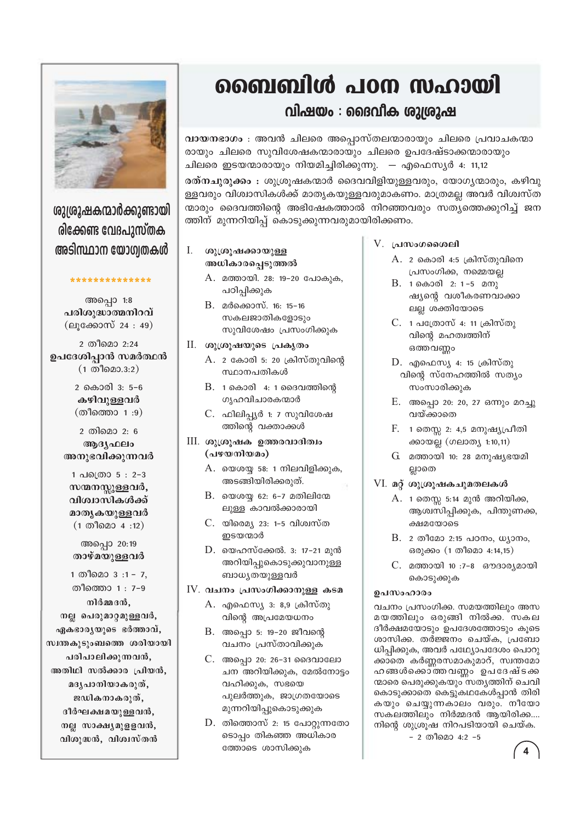## ബൈബിൾ പഠന സഹായി

### വിഷയം : ദൈവീക ശുശ്രൂഷ

വായനഭാഗം : അവൻ ചിലരെ അപ്പൊസ്തലന്മാരായും ചിലരെ പ്രവാചകന്മാ രായും ചിലരെ സുവിശേഷകന്മാരായും ചിലരെ ഉപദേഷ്ടാക്കന്മാരായും ചിലരെ ഇടയന്മാരായും നിയമിച്ചിരിക്കുന്നു. — എഫെസ്യർ 4: 11,12

രത്നചൂരുക്കം : ശുശ്രൂഷകന്മാർ ദൈവവിളിയുള്ളവരും, യോഗ്യന്മാരും, കഴിവു ള്ളവരും വിശ്വാസികൾക്ക് മാതൃകയുള്ളവരുമാകണം. മാത്രമല്ല അവർ വിശ്വസ്ത ന്മാരും ദൈവത്തിന്റെ അഭിഷേകത്താൽ നിറഞ്ഞവരും സത്യത്തെക്കുറിച്ച് ജന ത്തിന് മുന്നറിയിപ്പ് കൊടുക്കുന്നവരുമായിരിക്കണം.

- Ι. ശുശ്രൂഷക്കായുള്ള അധികാരപ്പെടുത്തൽ
	- A. മത്തായി. 28: 19-20 പോകുക, പഠിപ്പിക്കുക
	- B. മർക്കൊസ്. 16: 15-16 സകലജാതികളോടും സുവിശേഷം പ്രസംഗിക്കുക

#### II. ശുശ്രൂഷയുടെ പ്രകൃതം

- A. 2 കോരി 5: 20 ക്രിസ്തുവിന്റെ സ്ഥാനപതികൾ
- $B.$  1 കൊരി  $4: 1$  ദൈവത്തിന്റെ ഗൃഹവിചാരകന്മാർ
- C. ഫിലിപ്പ്യർ 1: 7 സുവിശേഷ ത്തിന്റെ വക്താക്കൾ
- III. ശുശ്രൂഷക ഉത്തരവാദിത്വം (പഴയനിയമം)
	- $A.$  യെശയ്യ 58: 1 നിലവിളിക്കുക, അടങ്ങിയിരിക്കരുത്.
	- $B.$  യെശയ്യ 62: 6-7 മതിലിന്മേ ലുള്ള കാവൽക്കാരായി
	- C. യിമെെ $\frac{1}{2}$  23: 1-5 വിശ്വസ്ത ഇടയന്മാർ
	- D. യെഹസ്ക്കേൽ. 3: 17-21 മുൻ അറിയിപ്പുകൊടുക്കുവാനുള്ള ബാധ്യതയുള്ളവർ

#### IV. വചനം പ്രസംഗിക്കാനുള്ള കടമ

- A. എഫെസ്യ 3: 8,9 ക്രിസ്തു വിന്റെ അപ്രമേയധനം
- B. അപ്പൊ 5: 19–20 ജീവന്റെ വചനം പ്രസ്താവിക്കുക
- C. അപ്പൊ 20: 26-31 ദൈവാലോ ചന അറിയിക്കുക, മേൽനോട്ടം വഹിക്കുക, സഭയെ പുലർത്തുക, ജാഗ്രതയോടെ മുന്നറിയിപ്പുകൊടുക്കുക
- $D.$  തിത്തൊസ് 2: 15 പോറ്റുന്നതോ ടൊപ്പം തികഞ്ഞ അധികാര ത്തോടെ ശാസിക്കുക

#### V. പ്രസംഗശൈലി

- A. 2 കൊരി 4:5 ക്രിസ്തുവിനെ പ്രസംഗിക്ക, നമ്മെയല്ല
- $B.$  1 കൊരി 2: 1-5 മനു ഷ്യന്റെ വശീകരണവാക്കാ ലല്ല ശക്തിയോടെ
- C. 1 പത്രോസ് 4: 11 ക്രിസ്തു വിന്റെ മഹത്വത്തിന് ഒത്തവണ്ണം
- $D.$  എഫെസ്യ 4: 15 ക്രിസ്തു വിന്റെ സ്നേഹത്തിൽ സത്യം സംസാരിക്കുക
- E. അപ്പൊ 20: 20, 27 ഒന്നും മറച്ചു വയ്ക്കാതെ
- F. 1 തെസ്സ 2: 4,5 മനുഷ്യപ്രീതി ക്കായല്ല (ഗലാത്യ 1:10,11)
- G. മത്തായി 10: 28 മനുഷ്യഭയമി ല്ലാതെ
- VI. മറ്റ് ശുശ്രൂഷകചുമതലകൾ
	- A. 1 തെസ്സ 5:14 മുൻ അറിയിക്ക, ആശ്വസിപ്പിക്കുക, പിന്തുണക്ക, ക്ഷമയോടെ
	- B. 2 തീമോ 2:15 പഠനം, ധ്യാനം, ഒരുക്കം (1 തീമൊ 4:14,15)
	- C. മത്തായി 10:7-8 ഔദാര്യമായി കൊടുക്കുക

#### ഉപസംഹാരം

വചനം പ്രസംഗിക്ക. സമയത്തിലും അസ മയത്തിലും ഒരുങ്ങി നിൽക്ക. സകല ദീർക്ഷമയോടും ഉപദേശത്തോടും കുടെ ശാസിക്ക. തർജ്ജനം ചെയ്ക, പ്രബോ ധിപ്പിക്കുക, അവർ പഥ്യോപദേശം പൊറു ക്കാതെ കർണ്ണരസമാകുമാറ്, സ്വന്തമോ ഹങ്ങൾക്കൊത്തവണ്ണം ഉപദേഷ്ടക്ക ന്മാരെ പെരുക്കുകയും സതൃത്തിന് ചെവി കൊടുക്കാതെ കെട്ടുകഥകേൾപ്പാൻ തിരി കയും ചെയ്യുന്നകാലം വരും. നീയോ സകലത്തിലും നിർമ്മദൻ ആയിരിക്ക…. നിന്റെ ശുശ്രൂഷ നിറപടിയായി ചെയ്ക.

- 2 തീമൊ 4:2 -5



ശുശ്രൂഷകന്മാർക്കുണ്ടായി രിക്കേണ്ട വേദപുസ്തക അടിസ്ഥാന യോഗ്വതകൾ

\*\*\*\*\*\*\*\*\*\*\*\*\*\*

അപ്പൊ 1:8 പരിശുദ്ധാത്മനിറവ് (ലൂക്കോസ് 24:49)

2 തീമൊ 2:24 ഉപദേശിപ്പാൻ സമർത്ഥൻ  $(1 \n<sub>0</sub> \n<sub>0</sub> \n<sub>0</sub> \n<sub>0</sub> \n<sub>0</sub> \n<sub>0</sub> \n<sub>0</sub> \n<sub>0</sub> \n<sub>1</sub> \n<sub>0</sub> \n<sub>0</sub> \n<sub>1</sub> \n<sub>0</sub> \n<sub>0</sub> \n<sub>1</sub> \n<sub>0</sub> \n<sub>0</sub> \n<sub>1</sub> \n<sub>0</sub> \n<sub>1</sub> \n<sub>0</sub> \n<sub>0</sub> \n<sub>1</sub> \n<sub>0</sub> \$ 

> 2 കൊരി 3: 5-6 കഴിവുള്ളവർ (തീത്തൊ 1:9)

2 തിമൊ 2: 6 ആദൃഫലം അനുഭവിക്കുന്നവർ

1 പക്രൊ 5 : 2-3 സന്മനസ്സുള്ളവർ, വിശ്വാസികൾക്ക് മാതൃകയുള്ളവർ  $(1 \n<sup>0</sup> \n<sup>0</sup> \n<sup>0</sup> \n<sup>1</sup> \n<sup>0</sup> \n<sup>1</sup> \n<sup>1</sup> \n<sup>1</sup> \n<sup>0</sup> \n<sup>1</sup> \n<sup>1</sup> \n<sup>1</sup> \n<sup>1</sup> \n<sup>1</sup> \n<sup>1</sup> \n<sup>1</sup> \n<sup>1</sup> \n<sup>1</sup> \n<sup>1</sup> \n<sup>1</sup> \n<sup>1</sup> \n<sup>1</sup> \n<sup>1</sup> \n<sup>1</sup> \$ 

അപ്പൊ 20:19 താഴ്മയുള്ളവർ

1 തീമൊ 3:1 - 7, തീത്തൊ 1 : 7-9 നിർമ്മദൻ. നല്ല പെരുമാറ്റമുള്ളവർ, ഏകഭാരൃയുടെ ഭർത്താവ്, സ്വന്തകുടുംബത്തെ ശരിയായി പരിപാലിക്കുന്നവൻ, അതിഥി സൽക്കാര പ്രിയൻ, മദൃപാനിയാകരുത്, ജഡികനാകരുത്, ദീർഘക്ഷമയുള്ളവൻ, നല്ല സാക്ഷ്യമുളളവൻ, വിശുദ്ധൻ, വിശ്വസ്തൻ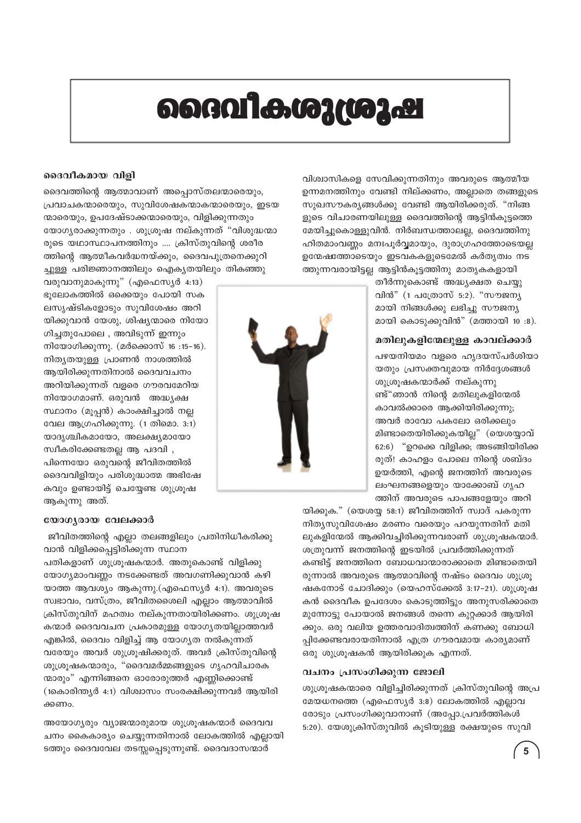# ൈവികശുശ്രൂഷ

#### ദൈവീകമായ വിളി

ദൈവത്തിന്റെ ആത്മാവാണ് അപ്പൊസ്തലന്മാരെയും, പ്രവാചകന്മാരെയും, സുവിശേഷകന്മാകന്മാരെയും, ഇടയ ന്മാരെയും, ഉപദേഷ്ടാക്കന്മാരെയും, വിളിക്കുന്നതും യോഗ്യരാക്കുന്നതും . ശുശ്രുഷ നല്കുന്നത് "വിശുദ്ധന്മാ രുടെ യഥാസ്ഥാപനത്തിനും .... ക്രിസ്തുവിന്റെ ശരീര ത്തിന്റെ ആത്മീകവർദ്ധനയ്ക്കും, ദൈവപുത്രനെക്കുറി ച്ചുള്ള പരിജ്ഞാനത്തിലും ഐക്യതയിലും തികഞ്ഞു

വരുവാനുമാകുന്നു" (എഫെസ്യർ 4:13) ഭൂലോകത്തിൽ ഒക്കെയും പോയി സക ലസൃഷ്ടികളോടും സുവിശേഷം അറി യിക്കുവാൻ യേശു, ശിഷ്യന്മാരെ നിയോ ഗിച്ചതുപോലെ , അവിടുന്ന് ഇന്നും നിയോഗിക്കുന്നു. (മർക്കൊസ് 16:15-16). നിത്യതയുള്ള പ്രാണൻ നാശത്തിൽ ആയിരിക്കുന്നതിനാൽ ദൈവവചനം അറിയിക്കുന്നത് വളരെ ഗൗരവമേറിയ നിയോഗമാണ്. ഒരുവൻ അദ്ധ്യക്ഷ സ്ഥാനം (മൂപ്പൻ) കാംക്ഷിച്ചാൽ നല്ല വേല ആഗ്രഹിക്കുന്നു. (1 തിമൊ. 3:1) യാദൃശ്ചികമായോ, അലക്ഷ്യമായോ സ്വീകരിക്കേണ്ടതല്ല ആ പദവി , പിന്നെയോ ഒരുവന്റെ ജീവിതത്തിൽ ദൈവവിളിയും പരിശുദ്ധാത്മ അഭിഷേ കവും ഉണ്ടായിട്ട് ചെയ്യേണ്ട ശുശ്രുഷ ആകുന്നു അത്.



വിശ്വാസികളെ സേവിക്കുന്നതിനും അവരുടെ ആത്മീയ ഉന്നമനത്തിനും വേണ്ടി നില്ക്കണം, അല്ലാതെ തങ്ങളുടെ സുഖസൗകര്യങ്ങൾക്കു വേണ്ടി ആയിരിക്കരുത്. "നിങ്ങ ളുടെ വിചാരണയിലുള്ള ദൈവത്തിന്റെ ആട്ടിൻകൂട്ടത്തെ മേയിച്ചുകൊള്ളുവിൻ. നിർബന്ധത്താലല്ല, ദൈവത്തിനു ഹിതമാംവണ്ണം മനഃപൂർവ്വമായും, ദുരാഗ്രഹത്തോടെയല്ല ഉന്മേഷത്തോടെയും ഇടവകകളുടെമേൽ കർതൃത്വം നട ത്തുന്നവരായിട്ടല്ല ആട്ടിൻകൂട്ടത്തിനു മാതൃകകളായി

> തീർന്നുകൊണ്ട് അദ്ധ്യക്ഷത ചെയ്യു വിൻ" (1 പത്രോസ് 5:2). "സൗജന്യ മായി നിങ്ങൾക്കു ലഭിച്ചു സൗജന്യ മായി കൊടുക്കുവിൻ" (മത്തായി 10:8).

#### മതിലുകളിന്മേലുള്ള കാവല്ക്കാർ

പഴയനിയമം വളരെ ഹൃദയസ്പർശിയാ യതും പ്രസക്തവുമായ നിർദ്ദേശങ്ങൾ ശുശ്രുഷകന്മാർക്ക് നല്കുന്നു ണ്ട്"ഞാൻ നിന്റെ മതിലുകളിന്മേൽ കാവൽക്കാരെ ആക്കിയിരിക്കുന്നു; അവർ രാവോ പകലോ ഒരിക്കലും മിണ്ടാതെയിരിക്കുകയില്ല" (യെശയ്യാവ് 62:6) "ഉറക്കെ വിളിക്ക; അടങ്ങിയിരിക്ക രുത്! കാഹളം പോലെ നിന്റെ ശബ്ദം ഉയർത്തി, എന്റെ ജനത്തിന് അവരുടെ ലംഘനങ്ങളെയും യാക്കോബ് ഗൃഹ ത്തിന് അവരുടെ പാപങ്ങളേയും അറി

#### യോഗ്യരായ വേലക്കാർ

ജീവിതത്തിന്റെ എല്ലാ തലങ്ങളിലും പ്രതിനിധീകരിക്കു വാൻ വിളിക്കപ്പെട്ടിരിക്കുന്ന സ്ഥാന

പതികളാണ് ശുശ്രൂഷകന്മാർ. അതുകൊണ്ട് വിളിക്കു യോഗ്യമാംവണ്ണം നടക്കേണ്ടത് അവഗണിക്കുവാൻ കഴി യാത്ത ആവശ്യം ആകുന്നു.(എഫെസ്യർ 4:1). അവരുടെ സ്വഭാവം, വസ്ത്രം, ജീവിതശൈലി എല്ലാം ആത്മാവിൽ ക്രിസ്തുവിന് മഹത്വം നല്കുന്നതായിരിക്കണം. ശുശ്രൂഷ കന്മാർ ദൈവവചന പ്രകാരമുള്ള യോഗ്യതയില്ലാത്തവർ എങ്കിൽ, ദൈവം വിളിച്ച് ആ യോഗ്യത നൽകുന്നത് വരേയും അവർ ശുശ്രൂഷിക്കരുത്. അവർ ക്രിസ്തുവിന്റെ ശുശ്രൂഷകന്മാരും, "ദൈവമർമ്മങ്ങളുടെ ഗൃഹവിചാരക ന്മാരും" എന്നിങ്ങനെ ഓരോരുത്തർ എണ്ണിക്കൊണ്ട് (1കൊരിന്ത്യർ 4:1) വിശ്വാസം സംരക്ഷിക്കുന്നവർ ആയിരി ക്കണം.

അയോഗ്യരും വ്യാജന്മാരുമായ ശുശ്രുഷകന്മാർ ദൈവവ ചനം കൈകാര്യം ചെയ്യുന്നതിനാൽ ലോകത്തിൽ എല്ലായി ടത്തും ദൈവവേല തടസ്സപ്പെടുന്നുണ്ട്. ദൈവദാസന്മാർ

യിക്കുക." (യെശയ്യ 58:1) ജീവിതത്തിന് സ്വാദ് പകരുന്ന നിത്യസുവിശേഷം മരണം വരെയും പറയുന്നതിന് മതി ലുകളിന്മേൽ ആക്കിവച്ചിരിക്കുന്നവരാണ് ശുശ്രൂഷകന്മാർ. ശത്രുവന്ന് ജനത്തിന്റെ ഇടയിൽ പ്രവർത്തിക്കുന്നത് കണ്ടിട്ട് ജനത്തിനെ ബോധവാന്മാരാക്കാതെ മിണ്ടാതെയി രുന്നാൽ അവരുടെ ആത്മാവിന്റെ നഷ്ടം ദൈവം ശുശ്രു ഷകനോട് ചോദിക്കും (യെഹസ്ക്കേൽ 3:17–21). ശുശ്രൂഷ കൻ ദൈവീക ഉപദേശം കൊടുത്തിട്ടും അനുസരിക്കാതെ മുന്നോട്ടു പോയാൽ ജനങ്ങൾ തന്നെ കുറ്റക്കാർ ആയിരി ക്കും. ഒരു വലിയ ഉത്തരവാദിത്വത്തിന് കണക്കു ബോധി പ്പിക്കേണ്ടവരായതിനാൽ എത്ര ഗൗരവമായ കാര്യമാണ് ഒരു ശുശ്രൂഷകൻ ആയിരിക്കുക എന്നത്.

#### വചനം പ്രസംഗിക്കുന്ന ജോലി

ശുശ്രുഷകന്മാരെ വിളിച്ചിരിക്കുന്നത് ക്രിസ്തുവിന്റെ അപ്ര മേയധനത്തെ (എഫെസ്യർ 3:8) ലോകത്തിൽ എല്ലാവ രോടും പ്രസംഗിക്കുവാനാണ് (അപ്പോ.പ്രവർത്തികൾ 5:20). യേശുക്രിസ്തുവിൽ കുടിയുള്ള രക്ഷയുടെ സുവി

5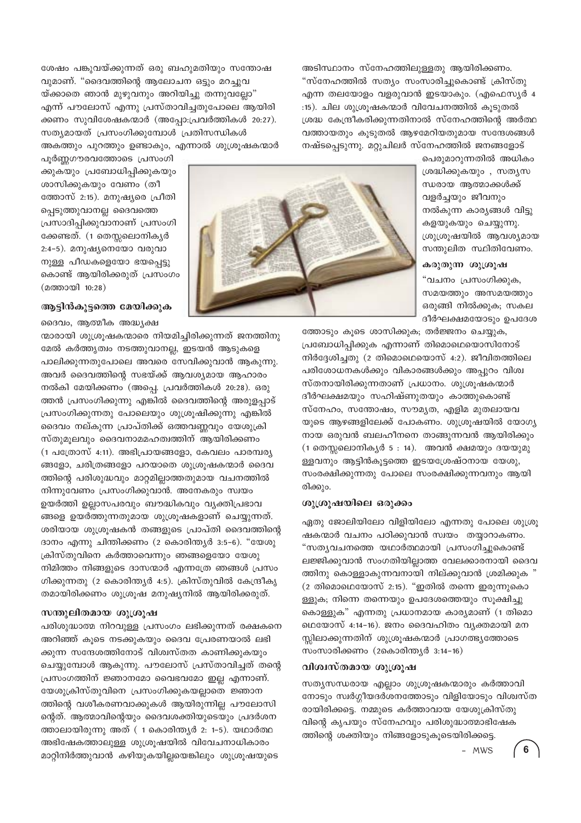ശേഷം പങ്കുവയ്ക്കുന്നത് ഒരു ബഹുമതിയും സന്തോഷ വുമാണ്. "ദൈവത്തിന്റെ ആലോചന ഒട്ടും മറച്ചുവ യ്ക്കാതെ ഞാൻ മുഴുവനും അറിയിച്ചു തന്നുവല്ലോ" എന്ന് പൗലോസ് എന്നു പ്രസ്താവിച്ചതുപോലെ ആയിരി ക്കണം സുവിശേഷകന്മാർ (അപ്പോ:പ്രവർത്തികൾ 20:27). സത്യമായത് പ്രസംഗിക്കുമ്പോൾ പ്രതിസന്ധികൾ അകത്തും പുറത്തും ഉണ്ടാകും, എന്നാൽ ശുശ്രൂഷകന്മാർ

പൂർണ്ണഗൗരവത്തോടെ പ്രസംഗി ക്കുകയും പ്രബോധിപ്പിക്കുകയും ശാസിക്കുകയും വേണം (തീ ത്തോസ് 2:15). മനുഷ്യരെ പ്രീതി പ്പെടുത്തുവാനല്ല ദൈവത്തെ പ്രസാദിപ്പിക്കുവാനാണ് പ്രസംഗി ക്കേണ്ടത്. (1 തെസ്സലൊനികൃർ 2:4-5). മനുഷ്യനെയോ വരുവാ നുള്ള പീഡകളെയോ ഭയപ്പെട്ടു കൊണ്ട് ആയിരിക്കരുത് പ്രസംഗം (മത്തായി 10:28)

#### ആട്ടിൻകൂട്ടത്തെ മേയിക്കുക

ദൈവം, ആത്മീക അദ്ധ്യക്ഷ

ന്മാരായി ശുശ്രൂഷകന്മാരെ നിയമിച്ചിരിക്കുന്നത് ജനത്തിനു മേൽ കർത്ത്യത്വം നടത്തുവാനല്ല, ഇടയൻ ആടുകളെ പാലിക്കുന്നതുപോലെ അവരെ സേവിക്കുവാൻ ആകുന്നു. അവർ ദൈവത്തിന്റെ സഭയ്ക്ക് ആവശ്യമായ ആഹാരം നൽകി മേയിക്കണം (അപ്പെ. പ്രവർത്തികൾ 20:28). ഒരു ത്തൻ പ്രസംഗിക്കുന്നു എങ്കിൽ ദൈവത്തിന്റെ അരുളപ്പാട് പ്രസംഗിക്കുന്നതു പോലെയും ശുശ്രൂഷിക്കുന്നു എങ്കിൽ ദൈവം നല്കുന്ന പ്രാപ്തിക്ക് ഒത്തവണ്ണവും യേശുക്രി സ്തുമൂലവും ദൈവനാമമഹത്വത്തിന് ആയിരിക്കണം (1 പത്രോസ് 4:11). അഭിപ്രായങ്ങളോ, കേവലം പാരമ്പര്യ ങ്ങളോ, ചരിത്രങ്ങളോ പറയാതെ ശുശ്രൂഷകന്മാർ ദൈവ ത്തിന്റെ പരിശുദ്ധവും മാറ്റമില്ലാത്തതുമായ വചനത്തിൽ നിന്നുവേണം പ്രസംഗിക്കുവാൻ. അനേകരും സ്വയം ഉയർത്തി ഉല്ലാസപരവും ബൗദ്ധികവും വ്യക്തിപ്രഭാവ ങ്ങളെ ഉയർത്തുന്നതുമായ ശുശ്രൂഷകളാണ് ചെയ്യുന്നത്. ശരിയായ ശുശ്രൂഷകൻ തങ്ങളുടെ പ്രാപ്തി ദൈവത്തിന്റെ ദാനം എന്നു ചിന്തിക്കണം (2 കൊരിന്ത്യർ 3:5-6). "യേശു ക്രിസ്തുവിനെ കർത്താവെന്നും ഞങ്ങളെയോ യേശു നിമിത്തം നിങ്ങളുടെ ദാസന്മാർ എന്നത്രേ ഞങ്ങൾ പ്രസം ഗിക്കുന്നതു (2 കൊരിന്ത്യർ 4:5). ക്രിസ്തുവിൽ കേന്ദ്രീകൃ തമായിരിക്കണം ശുശ്രൂഷ മനുഷ്യനിൽ ആയിരിക്കരുത്.

#### സന്തുലിതമായ ശുശ്രൂഷ

പരിശുദ്ധാത്മ നിറവുള്ള പ്രസംഗം ലഭിക്കുന്നത് രക്ഷകനെ അറിഞ്ഞ് കുടെ നടക്കുകയും ദൈവ പ്രേരണയാൽ ലഭി ക്കുന്ന സന്ദേശത്തിനോട് വിശ്വസ്തത കാണിക്കുകയും ചെയ്യുമ്പോൾ ആകുന്നു. പൗലോസ് പ്രസ്താവിച്ചത് തന്റെ പ്രസംഗത്തിന് ജ്ഞാനമോ വൈഭവമോ ഇല്ല എന്നാണ്. യേശുക്രിസ്തുവിനെ പ്രസംഗിക്കുകയല്ലാതെ ജ്ഞാന ത്തിന്റെ വശീകരണവാക്കുകൾ ആയിരുന്നില്ല പൗലോസി ന്റെത്. ആത്മാവിന്റെയും ദൈവശക്തിയുടെയും പ്രദർശന ത്താലായിരുന്നു അത് (1 കൊരിന്ത്യർ 2: 1-5). യഥാർത്ഥ അഭിഷേകത്താലുള്ള ശുശ്രൂഷയിൽ വിവേചനാധികാരം മാറ്റിനിർത്തുവാൻ കഴിയുകയില്ലയെങ്കിലും ശുശ്രുഷയുടെ



രിക്കും.

ശ്രദ്ധിക്കുകയും , സതൃസ ന്ധരായ ആത്മാക്കൾക്ക് വളർച്ചയും ജീവനും നൽകുന്ന കാര്യങ്ങൾ വിട്ടു കളയുകയും ചെയ്യുന്നു. ശ്രുശ്രുഷയിൽ ആവശ്യമായ സന്തുലിത സ്ഥിതിവേണം.

കരുതുന്ന ശുശ്രൂഷ

"വചനം പ്രസംഗിക്കുക,

സമയത്തും അസമയത്തും ഒരുങ്ങി നിൽക്കുക; സകല

ദീർഘക്ഷമയോടും ഉപദേശ

പെരുമാറുന്നതിൽ അധികം

അടിസ്ഥാനം സ്നേഹത്തിലുള്ളതു ആയിരിക്കണം. "സ്നേഹത്തിൽ സത്യം സംസാരിച്ചുകൊണ്ട് ക്രിസ്തു എന്ന തലയോളം വളരുവാൻ ഇടയാകും. (എഫെസ്യർ 4 :15). ചില ശൂത്രൂഷകന്മാർ വിവേചനത്തിൽ കൂടുതൽ ശ്രദ്ധ കേന്ദ്രീകരിക്കുന്നതിനാൽ സ്നേഹത്തിന്റെ അർത്ഥ വത്തായതും കൂടുതൽ ആഴമേറിയതുമായ സന്ദേശങ്ങൾ നഷ്ടപ്പെടുന്നു. മറ്റുചിലർ സ്നേഹത്തിൽ ജനങ്ങളോട്

ത്തോടും കൂടെ ശാസിക്കുക; തർജ്ജനം ചെയ്യുക,

പ്രബോധിപ്പിക്കുക എന്നാണ് തിമൊഥെയൊസിനോട്

നിർദ്ദേശിച്ചതു (2 തിമൊഥെയൊസ് 4:2). ജീവിതത്തിലെ

പരിശോധനകൾക്കും വികാരങ്ങൾക്കും അപ്പുറം വിശ്വ

സ്തനായിരിക്കുന്നതാണ് പ്രധാനം. ശുശ്രുഷകന്മാർ

ദീർഘക്ഷമയും സഹിഷ്ണുതയും കാത്തുകൊണ്ട്

സ്നേഹം, സന്തോഷം, സൗമൃത, എളിമ മുതലായവ

യുടെ ആഴങ്ങളിലേക്ക് പോകണം. ശുശ്രൂഷയിൽ യോഗ്യ

നായ ഒരുവൻ ബലഹീനനെ താങ്ങുന്നവൻ ആയിരിക്കും

(1 തെസ്സലൊനികൃർ 5 : 14). അവൻ ക്ഷമയും ദയയുമു

സംരക്ഷിക്കുന്നതു പോലെ സംരക്ഷിക്കുന്നവനും ആയി

ള്ളവനും ആട്ടിൻകൂട്ടത്തെ ഇടയശ്രേഷ്ഠനായ യേശു,

ശുശ്രൂഷയിലെ ഒരുക്കം ഏതു ജോലിയിലോ വിളിയിലോ എന്നതു പോലെ ശുശ്രു ഷകന്മാർ വചനം പഠിക്കുവാൻ സ്വയം തയ്യാറാകണം. "സത്യവചനത്തെ യഥാർത്ഥമായി പ്രസംഗിച്ചുകൊണ്ട് ലജ്ജിക്കുവാൻ സംഗതിയില്ലാത്ത വേലക്കാരനായി ദൈവ ത്തിനു കൊള്ളാകുന്നവനായി നില്ക്കുവാൻ ശ്രമിക്കുക " (2 തിമൊഥെയോസ് 2:15). "ഇതിൽ തന്നെ ഇരുന്നുകൊ ള്ളുക; നിന്നെ തന്നെയും ഉപദേശത്തെയും സൂക്ഷിച്ചു കൊള്ളുക" എന്നതു പ്രധാനമായ കാര്യമാണ് (1 തിമൊ ഥെയോസ് 4:14-16). ജനം ദൈവഹിതം വ്യക്തമായി മന സ്സിലാക്കുന്നതിന് ശുശ്രൂഷകന്മാർ പ്രാഗത്ഭ്യത്തോടെ

വിശ്വസ്തമായ ശുശ്രൂഷ

സംസാരിക്കണം (2കൊരിന്ത്യർ 3:14-16)

സത്യസന്ധരായ എല്ലാം ശുശ്രൂഷകന്മാരും കർത്താവി നോടും സ്വർഗ്ഗീയദർശനത്തോടും വിളിയോടും വിശ്വസ്ത രായിരിക്കട്ടെ. നമ്മുടെ കർത്താവായ യേശുക്രിസ്തു വിന്റെ കൃപയും സ്നേഹവും പരിശുദ്ധാത്മാഭിഷേക ത്തിന്റെ ശക്തിയും നിങ്ങളോടുകുടെയിരിക്കട്ടെ.  $6$ 

 $-MWS$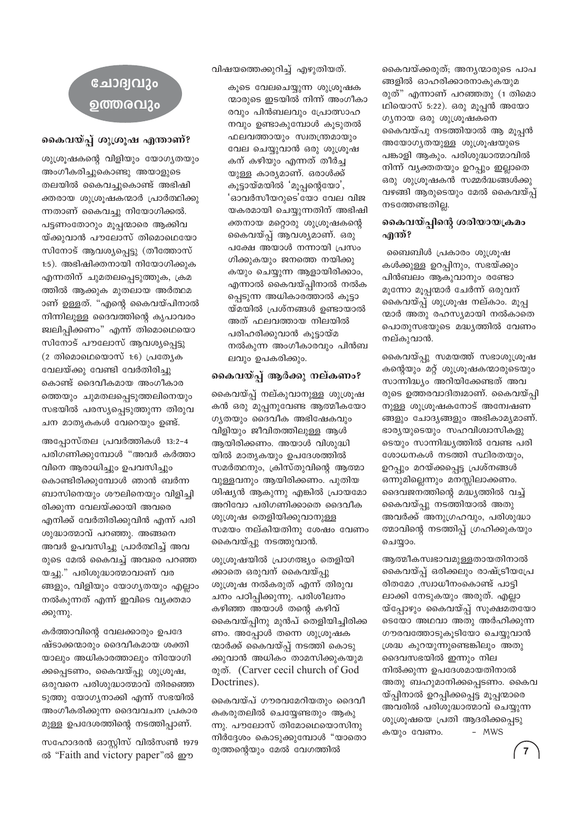### ചോദ്വവും ൭ത്തരവും

#### കൈവയ്പ്പ് ശുശ്രൂഷ എന്താണ്?

ശുശ്രൂഷകന്റെ വിളിയും യോഗ്യതയും അംഗീകരിച്ചുകൊണ്ടു അയാളുടെ തലയിൽ കൈവച്ചുകൊണ്ട് അഭിഷി ക്തരായ ശുശ്രൂഷകന്മാർ പ്രാർത്ഥിക്കു ന്നതാണ് കൈവച്ച നിയോഗിക്കൽ. പട്ടണംതോറും മുപ്പന്മാരെ ആക്കിവ യ്ക്കുവാൻ പൗലോസ് തിമൊഥെയോ സിനോട് ആവശ്യപ്പെട്ടു (തീത്തോസ് 1:5). അഭിഷിക്തനായി നിയോഗിക്കുക എന്നതിന് ചുമതലപ്പെടുത്തുക, ക്രമ ത്തിൽ ആക്കുക മുതലായ അർത്ഥമ ാണ് ഉള്ളത്. "എന്റെ കൈവയ്പിനാൽ നിന്നിലുള്ള ദൈവത്തിന്റെ കൃപാവരം ജ്വലിപ്പിക്കണം" എന്ന് തിമൊഥെയൊ സിനോട് പൗലോസ് ആവശ്യപ്പെട്ടു  $(2 \n *തിമൊഥയൊസ് 1:6) പ്രത്യേക*$ 

വേലയ്ക്കു വേണ്ടി വേർതിരിച്ചു കൊണ്ട് ദൈവീകമായ അംഗീകാര ത്തെയും ചുമതലപ്പെടുത്തലിനെയും സഭയിൽ പരസ്യപ്പെടുത്തുന്ന തിരുവ ചന മാതൃകകൾ വേറെയും ഉണ്ട്.

അപ്പോസ്തല പ്രവർത്തികൾ 13:2-4 പരിഗണിക്കുമ്പോൾ "അവർ കർത്താ വിനെ ആരാധിച്ചും ഉപവസിച്ചും കൊണ്ടിരിക്കുമ്പോൾ ഞാൻ ബർന്ന ബാസിനെയും ശൗലിനെയും വിളിച്ചി രിക്കുന്ന വേലയ്ക്കായി അവരെ എനിക്ക് വേർതിരിക്കുവിൻ എന്ന് പരി ശുദ്ധാത്മാവ് പറഞ്ഞു. അങ്ങനെ അവർ ഉപവസിച്ചു പ്രാർത്ഥിച്ച് അവ രുടെ മേൽ കൈവച്ച് അവരെ പറഞ്ഞ യച്ചു." പരിശുദ്ധാത്മാവാണ് വര ങ്ങളും, വിളിയും യോഗ്യതയും എല്ലാം നൽകുന്നത് എന്ന് ഇവിടെ വ്യക്തമാ ക്കുന്നു.

കർത്താവിന്റെ വേലക്കാരും ഉപദേ ഷ്ടാക്കന്മാരും ദൈവീകമായ ശക്തി യാലും അധികാരത്താലും നിയോഗി ക്കപ്പെടണം, കൈവയ്പ്പു ശുശ്രൂഷ, ഒരുവനെ പരിശുദ്ധാത്മാവ് തിരഞ്ഞെ ടുത്തു യോഗൃനാക്കി എന്ന് സഭയിൽ അംഗീകരിക്കുന്ന ദൈവവചന പ്രകാര മുള്ള ഉപദേശത്തിന്റെ നടത്തിപ്പാണ്.

സഹോദരൻ ഓസ്റ്റിസ് വിൽസൺ 1979 ൽ "Faith and victory paper"ൽ ഈ

വിഷയത്തെക്കുറിച്ച് എഴുതിയത്.

കുടെ വേലചെയ്യുന്ന ശുശ്രുഷക ന്മാരുടെ ഇടയിൽ നിന്ന് അംഗീകാ രവും പിൻബലവും പ്രോത്സാഹ നവും ഉണ്ടാകുമ്പോൾ കൂടുതൽ ഫലവത്തായും സ്വതന്ത്രമായും വേല ചെയ്യുവാൻ ഒരു ശുശ്രൂഷ കന് കഴിയും എന്നത് തീർച്ച യുള്ള കാര്യമാണ്. ഒരാൾക്ക് കൂട്ടായ്മയിൽ 'മൂപ്പന്റെയോ', 'ഓവർസീയറുടെ'യോ വേല വിജ യകരമായി ചെയ്യുന്നതിന് അഭിഷി ക്തനായ മറ്റൊരു ശുശ്രൂഷകന്റെ കൈവയ്പ്പ് ആവശ്യമാണ്. ഒരു പക്ഷേ അയാൾ നന്നായി പ്രസം ഗിക്കുകയും ജനത്തെ നയിക്കു കയും ചെയ്യുന്ന ആളായിരിക്കാം, എന്നാൽ കൈവയ്പ്പിനാൽ നൽക പ്പെടുന്ന അധികാരത്താൽ കൂട്ടാ യ്മയിൽ പ്രശ്നങ്ങൾ ഉണ്ടായാൽ അത് ഫലവത്തായ നിലയിൽ പരിഹരിക്കുവാൻ കൂട്ടായ്മ നൽകുന്ന അംഗീകാരവും പിൻബ ലവും ഉപകരിക്കും.

#### കൈവയ്പ്പ് ആർക്കു നല്കണം?

കൈവയ്പ്പ് നല്കുവാനുള്ള ശുശ്രൂഷ കൻ ഒരു മുപ്പനുവേണ്ട ആത്മീകയോ ഗ്യതയും ദൈവീക അഭിഷേകവും വിളിയും ജീവിതത്തിലുള്ള ആൾ ആയിരിക്കണം. അയാൾ വിശുദ്ധി യിൽ മാതൃകയും ഉപദേശത്തിൽ സമർത്ഥനും, ക്രിസ്തുവിന്റെ ആത്മാ വുള്ളവനും ആയിരിക്കണം. പുതിയ ശിഷ്യൻ ആകുന്നു എങ്കിൽ പ്രായമോ അറിവോ പരിഗണിക്കാതെ ദൈവീക ശുശ്രൂഷ തെളിയിക്കുവാനുള്ള സമയം നല്കിയതിനു ശേഷം വേണം കൈവയ്പു നടത്തുവാൻ.

ശുശ്രുഷയിൽ പ്രാഗത്ഭ്യം തെളിയി ക്കാതെ ഒരുവന് കൈവയ്പ്പു ശുശ്രൂഷ നൽകരുത് എന്ന് തിരുവ ചനം പഠിപ്പിക്കുന്നു. പരിശീലനം കഴിഞ്ഞ അയാൾ തന്റെ കഴിവ് കൈവയ്പ്പിനു മുൻപ് തെളിയിച്ചിരിക്ക ണം. അപ്പോൾ തന്നെ ശുശ്രൂഷക ന്മാർക്ക് കൈവയ്പ്പ് നടത്തി കൊടു ക്കുവാൻ അധികം താമസിക്കുകയുമ രുത്. (Carver cecil church of God Doctrines).

കൈവയ്പ് ഗൗരവമേറിയതും ദൈവീ കകരുതലിൽ ചെയ്യേണ്ടതും ആകു ന്നു. പൗലോസ് തിമോഥെയൊസിനു നിർദ്ദേശം കൊടുക്കുമ്പോൾ "യാതൊ രുത്തന്റെയും മേൽ വേഗത്തിൽ

കൈവയ്ക്കരുത്; അനൃന്മാരുടെ പാപ ങ്ങളിൽ ഓഹരിക്കാരനാകുകയുമ രുത്" എന്നാണ് പറഞ്ഞതു (1 തിമൊ ഥിയൊസ് 5:22). ഒരു മൂപ്പൻ അയോ ഗൃനായ ഒരു ശുശ്രൂഷകനെ കൈവയ്പു നടത്തിയാൽ ആ മൂപ്പൻ അയോഗൃതയുള്ള ശുശ്രൂഷയുടെ പങ്കാളി ആകും. പരിശുദ്ധാത്മാവിൽ നിന്ന് വ്യക്തതയും ഉറപ്പും ഇല്ലാതെ ഒരു ശുശ്രുഷകൻ സമ്മർദ്ധങ്ങൾക്കു വഴങ്ങി ആരുടെയും മേൽ കൈവയ്പ്പ് നടത്തേണ്ടതില്ല.

#### കൈവയ്പ്പിന്റെ ശരിയായക്രമം എന്ത്?

ബൈബിൾ പ്രകാരം ശുശ്രൂഷ കൾക്കുള്ള ഉറപ്പിനും, സഭയ്ക്കും പിൻബലം ആകുവാനും രണ്ടോ മൂന്നോ മൂപ്പന്മാർ ചേർന്ന് ഒരുവന് കൈവയ്പ്പ് ശുശ്രൂഷ നല്കാം. മൂപ്പ ന്മാർ അതു രഹസ്യമായി നൽകാതെ പൊതുസഭയുടെ മദ്ധ്യത്തിൽ വേണം നല്കുവാൻ.

കൈവയ്പ്പു സമയത്ത് സഭാശുശ്രൂഷ കന്റെയും മറ്റ് ശുശ്രൂഷകന്മാരുടെയും സാന്നിദ്ധ്യം അറിയിക്കേണ്ടത് അവ രുടെ ഉത്തരവാദിത്വമാണ്. കൈവയ്പ്പി നുള്ള ശുശ്രുഷകനോട് അന്വേഷണ ങ്ങളും ചോദ്യങ്ങളും അഭികാമ്യമാണ്. ഭാര്യയുടെയും സഹവിശ്വാസികളു ടെയും സാന്നിദ്ധ്യത്തിൽ വേണ്ട പരി ശോധനകൾ നടത്തി സ്ഥിരതയും, ഉറപ്പും മറയ്ക്കപ്പെട്ട പ്രശ്നങ്ങൾ ഒന്നുമില്ലെന്നും മനസ്സിലാക്കണം. ദൈവജനത്തിന്റെ മദ്ധ്യത്തിൽ വച്ച് കൈവയ്പ്പു നടത്തിയാൽ അതു അവർക്ക് അനുഗ്രഹവും, പരിശുദ്ധാ ത്മാവിന്റെ നടത്തിപ്പ് ഗ്രഹിക്കുകയും ചെയ്യാം.

ആത്മീകസ്വഭാവമുള്ളതായതിനാൽ കൈവയ്പ്പ് ഒരിക്കലും രാഷ്ട്രീയപ്രേ ദിതമോ ,സ്വാധീനംകൊണ്ട് പാട്ടി ലാക്കി നേടുകയും അരുത്. എല്ലാ യ്പ്പോഴും കൈവയ്പ്പ് സൂക്ഷമതയോ ടെയോ അഥവാ അതു അർഹിക്കുന്ന ഗൗരവത്തോടുകുടിയോ ചെയ്യുവാൻ ശ്രദ്ധ കുറയുന്നുണ്ടെങ്കിലും അതു ദൈവസഭയിൽ ഇന്നും നില നിൽക്കുന്ന ഉപദേശമായതിനാൽ അതു ബഹുമാനിക്കപ്പെടണം. കൈവ യ്പ്പിനാൽ ഉറപ്പിക്കപ്പെട്ട മൂപ്പന്മാരെ അവരിൽ പരിശുദ്ധാത്മാവ് ചെയ്യുന്ന ശുശ്രൂഷയെ പ്രതി ആദരിക്കപ്പെടു കയും വേണം. - MWS